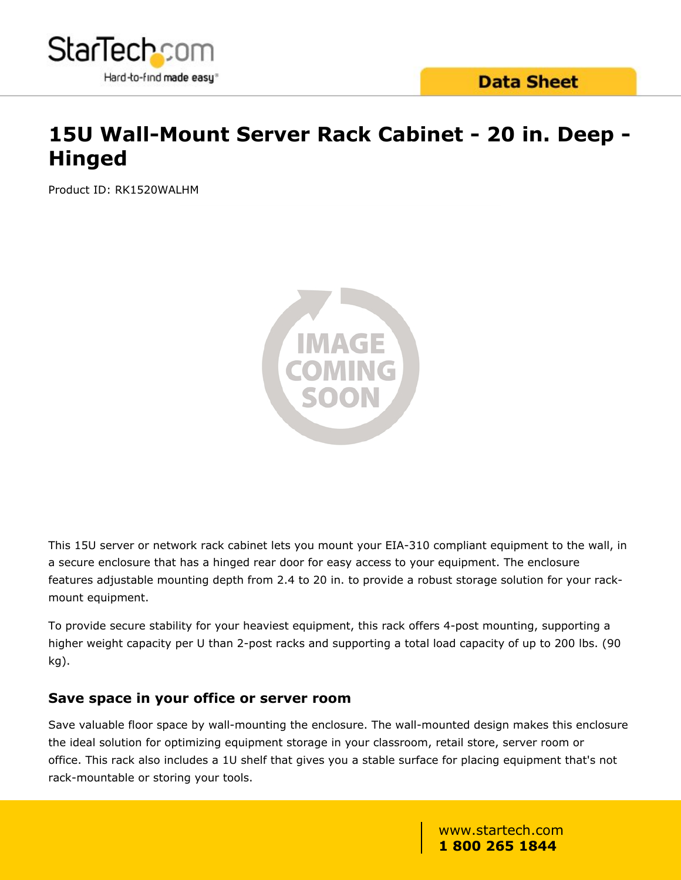

## **15U Wall-Mount Server Rack Cabinet - 20 in. Deep - Hinged**

Product ID: RK1520WALHM



This 15U server or network rack cabinet lets you mount your EIA-310 compliant equipment to the wall, in a secure enclosure that has a hinged rear door for easy access to your equipment. The enclosure features adjustable mounting depth from 2.4 to 20 in. to provide a robust storage solution for your rackmount equipment.

To provide secure stability for your heaviest equipment, this rack offers 4-post mounting, supporting a higher weight capacity per U than 2-post racks and supporting a total load capacity of up to 200 lbs. (90 kg).

#### **Save space in your office or server room**

Save valuable floor space by wall-mounting the enclosure. The wall-mounted design makes this enclosure the ideal solution for optimizing equipment storage in your classroom, retail store, server room or office. This rack also includes a 1U shelf that gives you a stable surface for placing equipment that's not rack-mountable or storing your tools.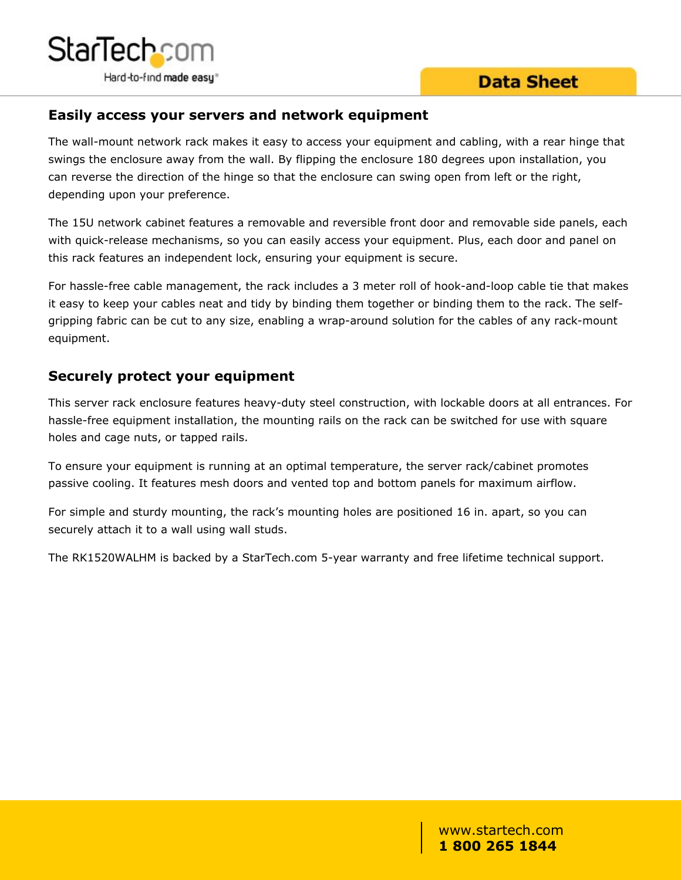

#### **Easily access your servers and network equipment**

The wall-mount network rack makes it easy to access your equipment and cabling, with a rear hinge that swings the enclosure away from the wall. By flipping the enclosure 180 degrees upon installation, you can reverse the direction of the hinge so that the enclosure can swing open from left or the right, depending upon your preference.

The 15U network cabinet features a removable and reversible front door and removable side panels, each with quick-release mechanisms, so you can easily access your equipment. Plus, each door and panel on this rack features an independent lock, ensuring your equipment is secure.

For hassle-free cable management, the rack includes a 3 meter roll of hook-and-loop cable tie that makes it easy to keep your cables neat and tidy by binding them together or binding them to the rack. The selfgripping fabric can be cut to any size, enabling a wrap-around solution for the cables of any rack-mount equipment.

#### **Securely protect your equipment**

This server rack enclosure features heavy-duty steel construction, with lockable doors at all entrances. For hassle-free equipment installation, the mounting rails on the rack can be switched for use with square holes and cage nuts, or tapped rails.

To ensure your equipment is running at an optimal temperature, the server rack/cabinet promotes passive cooling. It features mesh doors and vented top and bottom panels for maximum airflow.

For simple and sturdy mounting, the rack's mounting holes are positioned 16 in. apart, so you can securely attach it to a wall using wall studs.

The RK1520WALHM is backed by a StarTech.com 5-year warranty and free lifetime technical support.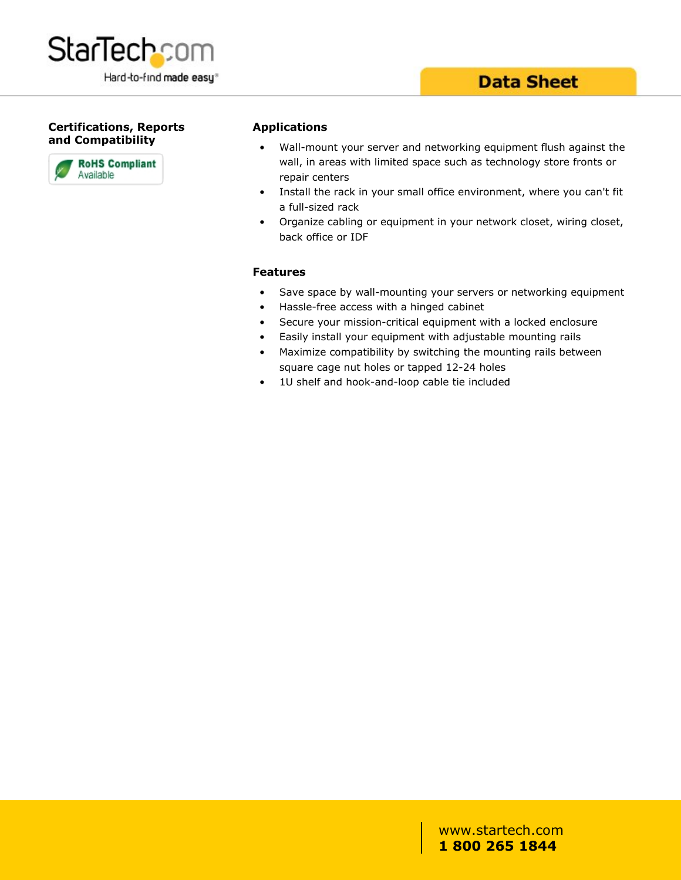

#### **Certifications, Reports and Compatibility**



#### **Applications**

- Wall-mount your server and networking equipment flush against the wall, in areas with limited space such as technology store fronts or repair centers
- Install the rack in your small office environment, where you can't fit a full-sized rack
- Organize cabling or equipment in your network closet, wiring closet, back office or IDF

#### **Features**

- Save space by wall-mounting your servers or networking equipment
- Hassle-free access with a hinged cabinet
- Secure your mission-critical equipment with a locked enclosure
- Easily install your equipment with adjustable mounting rails
- Maximize compatibility by switching the mounting rails between square cage nut holes or tapped 12-24 holes
- 1U shelf and hook-and-loop cable tie included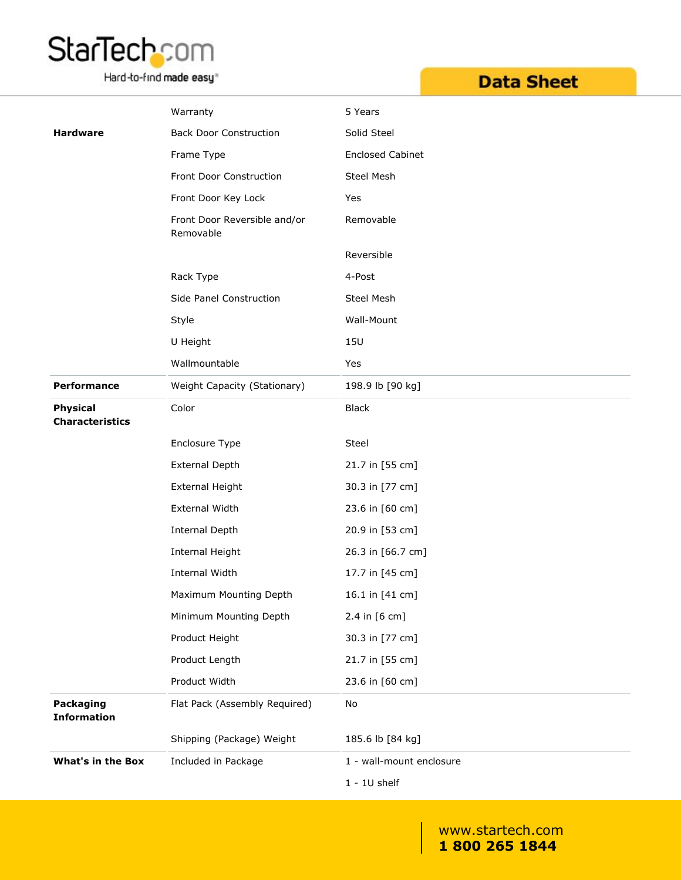# StarTech.com

Hard-to-find made easy<sup>®</sup>

## **Data Sheet**

|                                           | Warranty                                  | 5 Years                  |
|-------------------------------------------|-------------------------------------------|--------------------------|
| <b>Hardware</b>                           | <b>Back Door Construction</b>             | Solid Steel              |
|                                           | Frame Type                                | <b>Enclosed Cabinet</b>  |
|                                           | Front Door Construction                   | Steel Mesh               |
|                                           | Front Door Key Lock                       | Yes                      |
|                                           | Front Door Reversible and/or<br>Removable | Removable                |
|                                           |                                           | Reversible               |
|                                           | Rack Type                                 | 4-Post                   |
|                                           | Side Panel Construction                   | Steel Mesh               |
|                                           | Style                                     | Wall-Mount               |
|                                           | U Height                                  | <b>15U</b>               |
|                                           | Wallmountable                             | Yes                      |
| Performance                               | Weight Capacity (Stationary)              | 198.9 lb [90 kg]         |
| <b>Physical</b><br><b>Characteristics</b> | Color                                     | <b>Black</b>             |
|                                           | Enclosure Type                            | Steel                    |
|                                           | <b>External Depth</b>                     | 21.7 in [55 cm]          |
|                                           | <b>External Height</b>                    | 30.3 in [77 cm]          |
|                                           | External Width                            | 23.6 in [60 cm]          |
|                                           | Internal Depth                            | 20.9 in [53 cm]          |
|                                           | <b>Internal Height</b>                    | 26.3 in [66.7 cm]        |
|                                           | Internal Width                            | 17.7 in [45 cm]          |
|                                           | Maximum Mounting Depth                    | 16.1 in [41 cm]          |
|                                           | Minimum Mounting Depth                    | 2.4 in [6 cm]            |
|                                           | Product Height                            | 30.3 in [77 cm]          |
|                                           | Product Length                            | 21.7 in [55 cm]          |
|                                           | Product Width                             | 23.6 in [60 cm]          |
| Packaging<br><b>Information</b>           | Flat Pack (Assembly Required)             | No                       |
|                                           | Shipping (Package) Weight                 | 185.6 lb [84 kg]         |
| <b>What's in the Box</b>                  | Included in Package                       | 1 - wall-mount enclosure |
|                                           |                                           | $1 - 10$ shelf           |